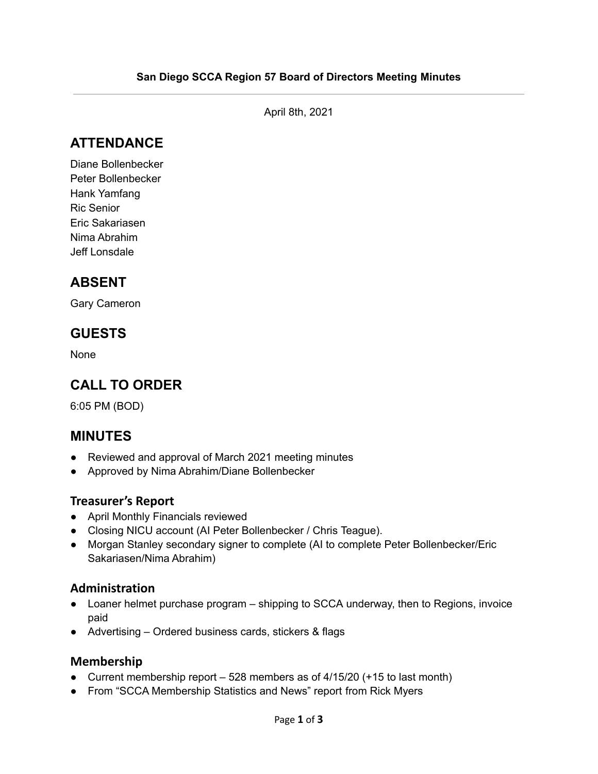April 8th, 2021

# **ATTENDANCE**

Diane Bollenbecker Peter Bollenbecker Hank Yamfang Ric Senior Eric Sakariasen Nima Abrahim Jeff Lonsdale

## **ABSENT**

Gary Cameron

## **GUESTS**

None

# **CALL TO ORDER**

6:05 PM (BOD)

## **MINUTES**

- Reviewed and approval of March 2021 meeting minutes
- Approved by Nima Abrahim/Diane Bollenbecker

### **Treasurer's Report**

- April Monthly Financials reviewed
- Closing NICU account (AI Peter Bollenbecker / Chris Teague).
- Morgan Stanley secondary signer to complete (AI to complete Peter Bollenbecker/Eric Sakariasen/Nima Abrahim)

### **Administration**

- Loaner helmet purchase program shipping to SCCA underway, then to Regions, invoice paid
- Advertising Ordered business cards, stickers & flags

#### **Membership**

- Current membership report 528 members as of 4/15/20 (+15 to last month)
- From "SCCA Membership Statistics and News" report from Rick Myers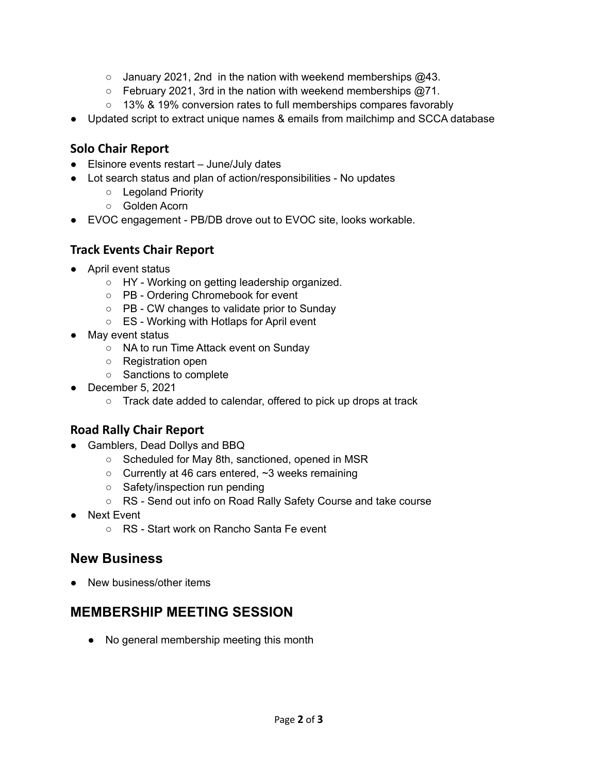- $\circ$  January 2021, 2nd in the nation with weekend memberships  $@43$ .
- February 2021, 3rd in the nation with weekend memberships @71.
- 13% & 19% conversion rates to full memberships compares favorably
- Updated script to extract unique names & emails from mailchimp and SCCA database

### **Solo Chair Report**

- Elsinore events restart June/July dates
- Lot search status and plan of action/responsibilities No updates
	- Legoland Priority
	- Golden Acorn
- EVOC engagement PB/DB drove out to EVOC site, looks workable.

### **Track Events Chair Report**

- April event status
	- HY Working on getting leadership organized.
	- PB Ordering Chromebook for event
	- PB CW changes to validate prior to Sunday
	- ES Working with Hotlaps for April event
- May event status
	- NA to run Time Attack event on Sunday
	- Registration open
	- Sanctions to complete
- December 5, 2021
	- Track date added to calendar, offered to pick up drops at track

## **Road Rally Chair Report**

- Gamblers, Dead Dollys and BBQ
	- Scheduled for May 8th, sanctioned, opened in MSR
	- Currently at 46 cars entered, ~3 weeks remaining
	- Safety/inspection run pending
	- RS Send out info on Road Rally Safety Course and take course
- Next Event
	- RS Start work on Rancho Santa Fe event

## **New Business**

• New business/other items

# **MEMBERSHIP MEETING SESSION**

● No general membership meeting this month